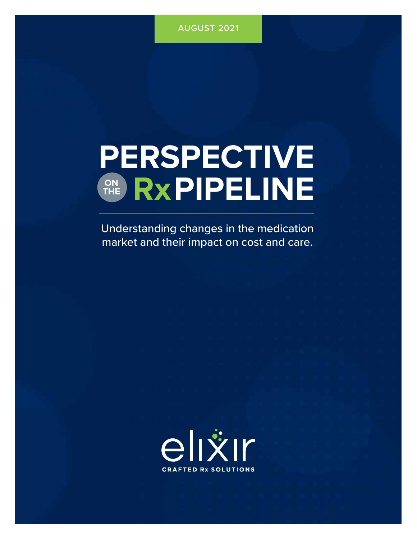# **PERSPECTIVE** ON RXPIPELINE **THE**

Understanding changes in the medication market and their impact on cost and care.

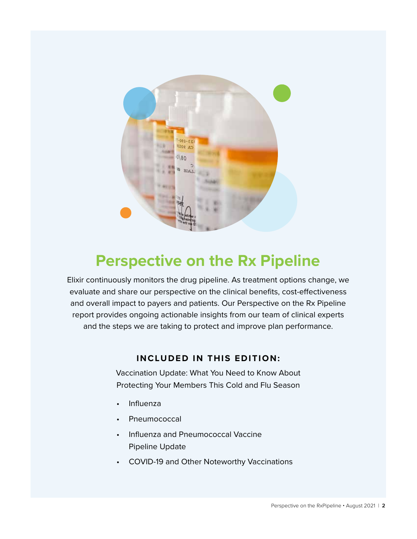

## **Perspective on the Rx Pipeline**

Elixir continuously monitors the drug pipeline. As treatment options change, we evaluate and share our perspective on the clinical benefits, cost-effectiveness and overall impact to payers and patients. Our Perspective on the Rx Pipeline report provides ongoing actionable insights from our team of clinical experts and the steps we are taking to protect and improve plan performance.

### **INCLUDED IN THIS EDITION:**

Vaccination Update: What You Need to Know About Protecting Your Members This Cold and Flu Season

- Influenza
- Pneumococcal
- Influenza and Pneumococcal Vaccine Pipeline Update
- COVID-19 and Other Noteworthy Vaccinations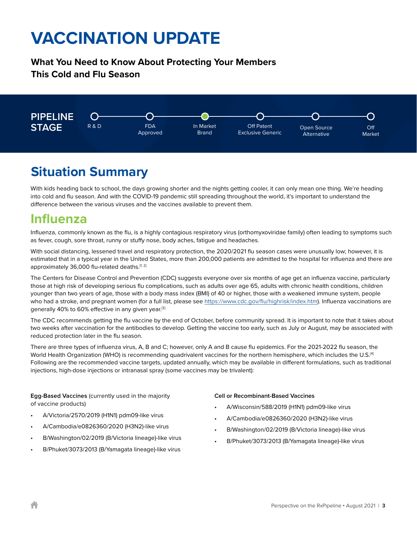## **What You Need to Know About Protecting Your Members This Cold and Flu Season**



## **Situation Summary**

With kids heading back to school, the days growing shorter and the nights getting cooler, it can only mean one thing. We're heading into cold and flu season. And with the COVID-19 pandemic still spreading throughout the world, it's important to understand the difference between the various viruses and the vaccines available to prevent them.

## **Influenza**

Influenza, commonly known as the flu, is a highly contagious respiratory virus (orthomyxoviridae family) often leading to symptoms such as fever, cough, sore throat, runny or stuffy nose, body aches, fatigue and headaches.

With social distancing, lessened travel and respiratory protection, the 2020/2021 flu season cases were unusually low; however, it is estimated that in a typical year in the United States, more than 200,000 patients are admitted to the hospital for influenza and there are approximately 36,000 flu-related deaths.[1, 2]

The Centers for Disease Control and Prevention (CDC) suggests everyone over six months of age get an influenza vaccine, particularly those at high risk of developing serious flu complications, such as adults over age 65, adults with chronic health conditions, children younger than two years of age, those with a body mass index (BMI) of 40 or higher, those with a weakened immune system, people who had a stroke, and pregnant women (for a full list, please see https://www.cdc.gov/flu/highrisk/index.htm). Influenza vaccinations are generally 40% to 60% effective in any given year.<sup>[3]</sup>

The CDC recommends getting the flu vaccine by the end of October, before community spread. It is important to note that it takes about two weeks after vaccination for the antibodies to develop. Getting the vaccine too early, such as July or August, may be associated with reduced protection later in the flu season.

There are three types of influenza virus, A, B and C; however, only A and B cause flu epidemics. For the 2021-2022 flu season, the World Health Organization (WHO) is recommending quadrivalent vaccines for the northern hemisphere, which includes the U.S.<sup>[4]</sup> Following are the recommended vaccine targets, updated annually, which may be available in different formulations, such as traditional injections, high-dose injections or intranasal spray (some vaccines may be trivalent):

**Egg-Based Vaccines** (currently used in the majority of vaccine products)

- A/Victoria/2570/2019 (H1N1) pdm09-like virus
- A/Cambodia/e0826360/2020 (H3N2)-like virus
- B/Washington/02/2019 (B/Victoria lineage)-like virus
- B/Phuket/3073/2013 (B/Yamagata lineage)-like virus

#### **Cell or Recombinant-Based Vaccines**

- A/Wisconsin/588/2019 (H1N1) pdm09-like virus
- A/Cambodia/e0826360/2020 (H3N2)-like virus
- B/Washington/02/2019 (B/Victoria lineage)-like virus
- B/Phuket/3073/2013 (B/Yamagata lineage)-like virus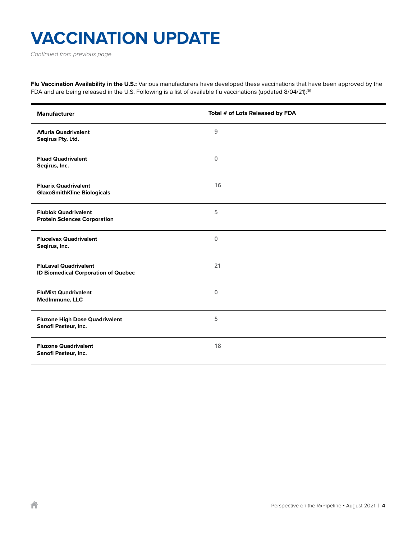*Continued from previous page*

**Flu Vaccination Availability in the U.S.:** Various manufacturers have developed these vaccinations that have been approved by the FDA and are being released in the U.S. Following is a list of available flu vaccinations (updated 8/04/21):<sup>[5]</sup>

| <b>Manufacturer</b>                                                        | Total # of Lots Released by FDA |
|----------------------------------------------------------------------------|---------------------------------|
| <b>Afluria Quadrivalent</b><br>Seqirus Pty. Ltd.                           | 9                               |
| <b>Fluad Quadrivalent</b><br>Seqirus, Inc.                                 | $\Omega$                        |
| <b>Fluarix Quadrivalent</b><br><b>GlaxoSmithKline Biologicals</b>          | 16                              |
| <b>Flublok Quadrivalent</b><br><b>Protein Sciences Corporation</b>         | 5                               |
| <b>Flucelvax Quadrivalent</b><br>Segirus, Inc.                             | $\mathbf 0$                     |
| <b>FluLaval Quadrivalent</b><br><b>ID Biomedical Corporation of Quebec</b> | 21                              |
| <b>FluMist Quadrivalent</b><br>MedImmune, LLC                              | $\mathbf 0$                     |
| <b>Fluzone High Dose Quadrivalent</b><br>Sanofi Pasteur, Inc.              | 5                               |
| <b>Fluzone Quadrivalent</b><br>Sanofi Pasteur, Inc.                        | 18                              |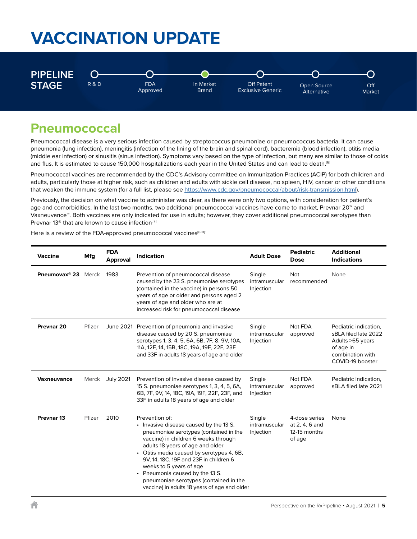

## **Pneumococcal**

Pneumococcal disease is a very serious infection caused by streptococcus pneumoniae or pneumococcus bacteria. It can cause pneumonia (lung infection), meningitis (infection of the lining of the brain and spinal cord), bacteremia (blood infection), otitis media (middle ear infection) or sinusitis (sinus infection). Symptoms vary based on the type of infection, but many are similar to those of colds and flus. It is estimated to cause 150,000 hospitalizations each year in the United States and can lead to death.<sup>[6]</sup>

Pneumococcal vaccines are recommended by the CDC's Advisory committee on Immunization Practices (ACIP) for both children and adults, particularly those at higher risk, such as children and adults with sickle cell disease, no spleen, HIV, cancer or other conditions that weaken the immune system (for a full list, please see https://www.cdc.gov/pneumococcal/about/risk-transmission.html).

Previously, the decision on what vaccine to administer was clear, as there were only two options, with consideration for patient's age and comorbidities. In the last two months, two additional pneumococcal vaccines have come to market, Prevnar 20™ and Vaxneuvance™. Both vaccines are only indicated for use in adults; however, they cover additional pneumococcal serotypes than Prevnar 13<sup>®</sup> that are known to cause infection<sup>[7]</sup>

Here is a review of the FDA-approved pneumococcal vaccines<sup>[8-11]:</sup>

| <b>Vaccine</b>                  | Mfg    | <b>FDA</b><br><b>Approval</b> | <b>Indication</b>                                                                                                                                                                                                                                                                                                                                                                                                             | <b>Adult Dose</b>                    | <b>Pediatric</b><br><b>Dose</b>                           | <b>Additional</b><br><b>Indications</b>                                                                                 |
|---------------------------------|--------|-------------------------------|-------------------------------------------------------------------------------------------------------------------------------------------------------------------------------------------------------------------------------------------------------------------------------------------------------------------------------------------------------------------------------------------------------------------------------|--------------------------------------|-----------------------------------------------------------|-------------------------------------------------------------------------------------------------------------------------|
| Pneumovax <sup>®</sup> 23 Merck |        | 1983                          | Prevention of pneumococcal disease<br>caused by the 23 S. pneumoniae serotypes<br>(contained in the vaccine) in persons 50<br>years of age or older and persons aged 2<br>years of age and older who are at<br>increased risk for pneumococcal disease                                                                                                                                                                        | Single<br>intramuscular<br>Injection | <b>Not</b><br>recommended                                 | None                                                                                                                    |
| Prevnar <sub>20</sub>           | Pfizer |                               | June 2021 Prevention of pneumonia and invasive<br>disease caused by 20 S. pneumoniae<br>serotypes 1, 3, 4, 5, 6A, 6B, 7F, 8, 9V, 10A,<br>11A, 12F, 14, 15B, 18C, 19A, 19F, 22F, 23F<br>and 33F in adults 18 years of age and older                                                                                                                                                                                            | Single<br>intramuscular<br>Injection | Not FDA<br>approved                                       | Pediatric indication,<br>sBLA filed late 2022<br>Adults > 65 years<br>of age in<br>combination with<br>COVID-19 booster |
| <b>Vaxneuvance</b>              | Merck  | <b>July 2021</b>              | Prevention of invasive disease caused by<br>15 S. pneumoniae serotypes 1, 3, 4, 5, 6A,<br>6B, 7F, 9V, 14, 18C, 19A, 19F, 22F, 23F, and<br>33F in adults 18 years of age and older                                                                                                                                                                                                                                             | Single<br>intramuscular<br>Injection | Not FDA<br>approved                                       | Pediatric indication,<br>sBLA filed late 2021                                                                           |
| Prevnar <sub>13</sub>           | Pfizer | 2010                          | Prevention of:<br>• Invasive disease caused by the 13 S.<br>pneumoniae serotypes (contained in the<br>vaccine) in children 6 weeks through<br>adults 18 years of age and older<br>• Otitis media caused by serotypes 4, 6B,<br>9V, 14, 18C, 19F and 23F in children 6<br>weeks to 5 years of age<br>• Pneumonia caused by the 13 S.<br>pneumoniae serotypes (contained in the<br>vaccine) in adults 18 years of age and older | Single<br>intramuscular<br>Injection | 4-dose series<br>at 2, 4, 6 and<br>12-15 months<br>of age | None                                                                                                                    |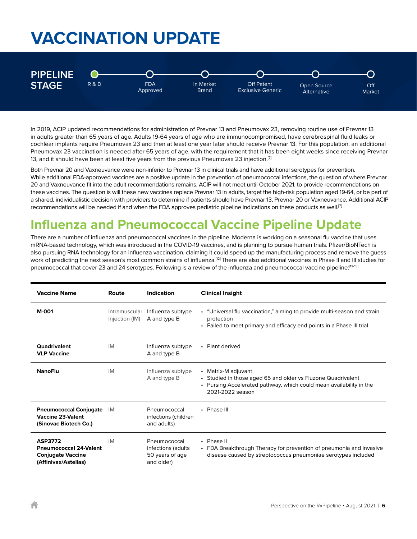

In 2019, ACIP updated recommendations for administration of Prevnar 13 and Pneumovax 23, removing routine use of Prevnar 13 in adults greater than 65 years of age. Adults 19-64 years of age who are immunocompromised, have cerebrospinal fluid leaks or cochlear implants require Pneumovax 23 and then at least one year later should receive Prevnar 13. For this population, an additional Pneumovax 23 vaccination is needed after 65 years of age, with the requirement that it has been eight weeks since receiving Prevnar 13, and it should have been at least five years from the previous Pneumovax 23 injection.<sup>[7]</sup>

Both Prevnar 20 and Vaxneuvance were non-inferior to Prevnar 13 in clinical trials and have additional serotypes for prevention. While additional FDA-approved vaccines are a positive update in the prevention of pneumococcal infections, the question of where Prevnar 20 and Vaxneuvance fit into the adult recommendations remains. ACIP will not meet until October 2021, to provide recommendations on these vaccines. The question is will these new vaccines replace Prevnar 13 in adults, target the high-risk population aged 19-64, or be part of a shared, individualistic decision with providers to determine if patients should have Prevnar 13, Prevnar 20 or Vaxneuvance. Additional ACIP recommendations will be needed if and when the FDA approves pediatric pipeline indications on these products as well.<sup>[7]</sup>

## **Influenza and Pneumococcal Vaccine Pipeline Update**

There are a number of influenza and pneumococcal vaccines in the pipeline. Moderna is working on a seasonal flu vaccine that uses mRNA-based technology, which was introduced in the COVID-19 vaccines, and is planning to pursue human trials. Pfizer/BioNTech is also pursuing RNA technology for an influenza vaccination, claiming it could speed up the manufacturing process and remove the guess work of predicting the next season's most common strains of influenza.<sup>[12]</sup> There are also additional vaccines in Phase II and III studies for pneumococcal that cover 23 and 24 serotypes. Following is a review of the influenza and pneumococcal vaccine pipeline:{12-15]

| <b>Vaccine Name</b>                                                                                 | Route                           | <b>Indication</b>                                                   | <b>Clinical Insight</b>                                                                                                                                                        |
|-----------------------------------------------------------------------------------------------------|---------------------------------|---------------------------------------------------------------------|--------------------------------------------------------------------------------------------------------------------------------------------------------------------------------|
| <b>M-001</b>                                                                                        | Intramuscular<br>Injection (IM) | Influenza subtype<br>A and type B                                   | • "Universal flu vaccination," aiming to provide multi-season and strain<br>protection<br>• Failed to meet primary and efficacy end points in a Phase III trial                |
| Quadrivalent<br><b>VLP Vaccine</b>                                                                  | IM                              | Influenza subtype<br>A and type B                                   | • Plant derived                                                                                                                                                                |
| <b>NanoFlu</b>                                                                                      | IM                              | Influenza subtype<br>A and type B                                   | • Matrix-M adjuvant<br>• Studied in those aged 65 and older vs Fluzone Quadrivalent<br>• Pursing Accelerated pathway, which could mean availability in the<br>2021-2022 season |
| <b>Pneumococcal Conjugate</b><br><b>Vaccine 23-Valent</b><br>(Sinovac Biotech Co.)                  | IM                              | Pneumococcal<br>infections (children<br>and adults)                 | • Phase III                                                                                                                                                                    |
| <b>ASP3772</b><br><b>Pneumococcal 24-Valent</b><br><b>Conjugate Vaccine</b><br>(Affinivax/Astellas) | IM                              | Pneumococcal<br>infections (adults<br>50 years of age<br>and older) | • Phase II<br>• FDA Breakthrough Therapy for prevention of pneumonia and invasive<br>disease caused by streptococcus pneumoniae serotypes included                             |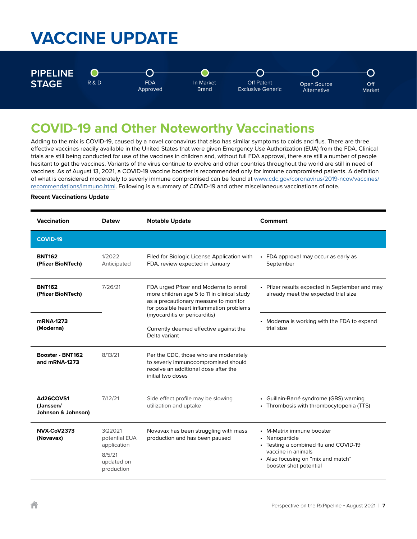# **VACCINE UPDATE**



## **COVID-19 and Other Noteworthy Vaccinations**

Adding to the mix is COVID-19, caused by a novel coronavirus that also has similar symptoms to colds and flus. There are three effective vaccines readily available in the United States that were given Emergency Use Authorization (EUA) from the FDA. Clinical trials are still being conducted for use of the vaccines in children and, without full FDA approval, there are still a number of people hesitant to get the vaccines. Variants of the virus continue to evolve and other countries throughout the world are still in need of vaccines. As of August 13, 2021, a COVID-19 vaccine booster is recommended only for immune compromised patients. A definition of what is considered moderately to severly immune compromised can be found at www.cdc.gov/coronavirus/2019-ncov/vaccines/ recommendations/immuno.html. Following is a summary of COVID-19 and other miscellaneous vaccinations of note.

#### **Recent Vaccinations Update**

| <b>Vaccination</b>                           | Datew                                                                        | <b>Notable Update</b>                                                                                                                                                      | Comment                                                                                                                                                                    |
|----------------------------------------------|------------------------------------------------------------------------------|----------------------------------------------------------------------------------------------------------------------------------------------------------------------------|----------------------------------------------------------------------------------------------------------------------------------------------------------------------------|
| <b>COVID-19</b>                              |                                                                              |                                                                                                                                                                            |                                                                                                                                                                            |
| <b>BNT162</b><br>(Pfizer BioNTech)           | 1/2022<br>Anticipated                                                        | Filed for Biologic License Application with<br>FDA, review expected in January                                                                                             | • FDA approval may occur as early as<br>September                                                                                                                          |
| <b>BNT162</b><br>(Pfizer BioNTech)           | 7/26/21                                                                      | FDA urged Pfizer and Moderna to enroll<br>more children age 5 to 11 in clinical study<br>as a precautionary measure to monitor<br>for possible heart inflammation problems | • Pfizer results expected in September and may<br>already meet the expected trial size                                                                                     |
| mRNA-1273<br>(Moderna)                       |                                                                              | (myocarditis or pericarditis)<br>Currently deemed effective against the<br>Delta variant                                                                                   | • Moderna is working with the FDA to expand<br>trial size                                                                                                                  |
| Booster - BNT162<br>and mRNA-1273            | 8/13/21                                                                      | Per the CDC, those who are moderately<br>to severly immunocompromised should<br>receive an additional dose after the<br>initial two doses                                  |                                                                                                                                                                            |
| Ad26COVS1<br>(Janssen/<br>Johnson & Johnson) | 7/12/21                                                                      | Side effect profile may be slowing<br>utilization and uptake                                                                                                               | • Guillain-Barré syndrome (GBS) warning<br>• Thrombosis with thrombocytopenia (TTS)                                                                                        |
| NVX-CoV2373<br>(Novavax)                     | 3Q2021<br>potential EUA<br>application<br>8/5/21<br>updated on<br>production | Novavax has been struggling with mass<br>production and has been paused                                                                                                    | • M-Matrix immune booster<br>• Nanoparticle<br>• Testing a combined flu and COVID-19<br>vaccine in animals<br>• Also focusing on "mix and match"<br>booster shot potential |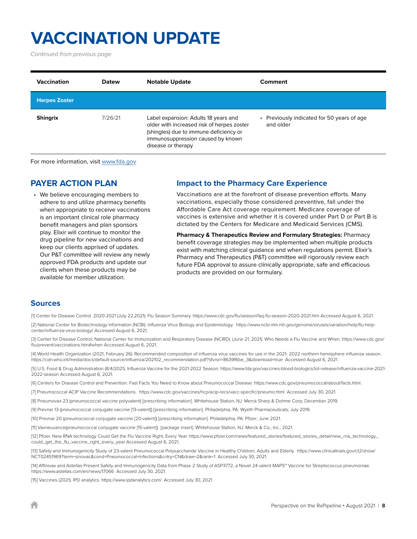*Continued from previous page*

| <b>Vaccination</b>   | <b>Datew</b> | <b>Notable Update</b>                                                                                                                                                                   | Comment                                                 |
|----------------------|--------------|-----------------------------------------------------------------------------------------------------------------------------------------------------------------------------------------|---------------------------------------------------------|
| <b>Herpes Zoster</b> |              |                                                                                                                                                                                         |                                                         |
| <b>Shingrix</b>      | 7/26/21      | Label expansion: Adults 18 years and<br>older with increased risk of herpes zoster<br>(shingles) due to immune deficiency or<br>immunosuppression caused by known<br>disease or therapy | • Previously indicated for 50 years of age<br>and older |

For more information, visit www.fda.gov

### **PAYER ACTION PLAN**

• We believe encouraging members to adhere to and utilize pharmacy benefits when appropriate to receive vaccinations is an important clinical role pharmacy benefit managers and plan sponsors play. Elixir will continue to monitor the drug pipeline for new vaccinations and keep our clients apprised of updates. Our P&T committee will review any newly approved FDA products and update our clients when these products may be available for member utilization.

### **Impact to the Pharmacy Care Experience**

Vaccinations are at the forefront of disease prevention efforts. Many vaccinations, especially those considered preventive, fall under the Affordable Care Act coverage requirement. Medicare coverage of vaccines is extensive and whether it is covered under Part D or Part B is dictated by the Centers for Medicare and Medicaid Services (CMS).

**Pharmacy & Therapeutics Review and Formulary Strategies:** Pharmacy benefit coverage strategies may be implemented when multiple products exist with matching clinical guidance and when regulations permit. Elixir's Pharmacy and Therapeutics (P&T) committee will rigorously review each future FDA approval to assure clinically appropriate, safe and efficacious products are provided on our formulary.

#### **Sources**

[1] Center for Disease Control. 2020-2021 (July 22,2021). Flu Season Summary. https://www.cdc.gov/flu/season/faq-flu-season-2020-2021.htm Accessed August 6, 2021.

[2] National Center for Biotechnology Information (NCBI). Influenza Virus Biology and Epidemiology. https://www.ncbi.nlm.nih.gov/genome/viruses/variation/help/flu-helpcenter/influenza-virus-biology/ Accessed August 6, 2021.

[3] Center for Disease Control, National Center for Immunization and Respiratory Disease (NCIRD). (June 21, 2021). Who Needs a Flu Vaccine and When. https://www.cdc.gov/ flu/prevent/vaccinations.htm#when Accessed August 6, 2021.

[4] World Health Organization (2021, February 26). Recommended composition of influenza virus vaccines for use in the 2021- 2022 northern hemisphere influenza season. https://cdn.who.int/media/docs/default-source/influenza/202102\_recommendation.pdf?sfvrsn=8639f6be\_3&download=true Accessed August 6, 2021.

[5] U.S. Food & Drug Administration (8/4/2021). Influenza Vaccine for the 2021-2022 Season. https://www.fda.gov/vaccines-blood-biologics/lot-release/influenza-vaccine-2021- 2022-season Accessed August 6, 2021.

[6] Centers for Disease Control and Prevention. Fast Facts You Need to Know about Pneumococcal Disease. https://www.cdc.gov/pneumococcal/about/facts.html.

[7] Pneumococcal ACIP Vaccine Recommendations. https://www.cdc.gov/vaccines/hcp/acip-recs/vacc-specific/pneumo.html Accessed July 30, 2021

[8] Pneumovax 23 (pneumococcal vaccine polyvalent) [prescribing information]. Whitehouse Station, NJ: Merck Sharp & Dohme Corp; December 2019.

[9] Prevnar 13 (pneumococcal conjugate vaccine [13-valent]) [prescribing information]. Philadelphia, PA: Wyeth Pharmaceuticals; July 2019.

[10] Prevnar 20 (pneumococcal conjugate vaccine [20-valent]) [prescribing information]. Philadelphia, PA: Pfizer; June 2021.

[11] Vaxneuvance(pneumococcal conjugate vaccine [15-valent]) [package insert]. Whitehouse Station, NJ: Merck & Co., Inc.; 2021.

[12] Pfizer. New RNA technology Could Get the Flu Vaccine Right, Every Year. https://www.pfizer.com/news/featured\_stories/featured\_stories\_detail/new\_rna\_technology\_ could\_get\_the\_flu\_vaccine\_right\_every\_year Accessed August 6, 2021.

[13] Safety and Immunogenicity Study of 23-valent Pneumococcal Polysaccharide Vaccine in Healthy Children, Adults and Elderly. https://www.clinicaltrials.gov/ct2/show/ NCT02451969?term=sinovac&cond=Pneumococcal+Infections&cntry=CN&draw=2&rank=1 Accessed July 30, 2021.

[14] Affinivax and Astellas Present Safety and Immunogenicity Data from Phase 2 Study of ASP3772, a Novel 24 valent MAPS™ Vaccine for Streptococcus pneumoniae. https://www.astellas.com/en/news/17066 Accessed July 30, 2021.

[15] Vaccines (2021). IPD analytics. https://www.ipdanalytics.com/. Accessed July 30, 2021.